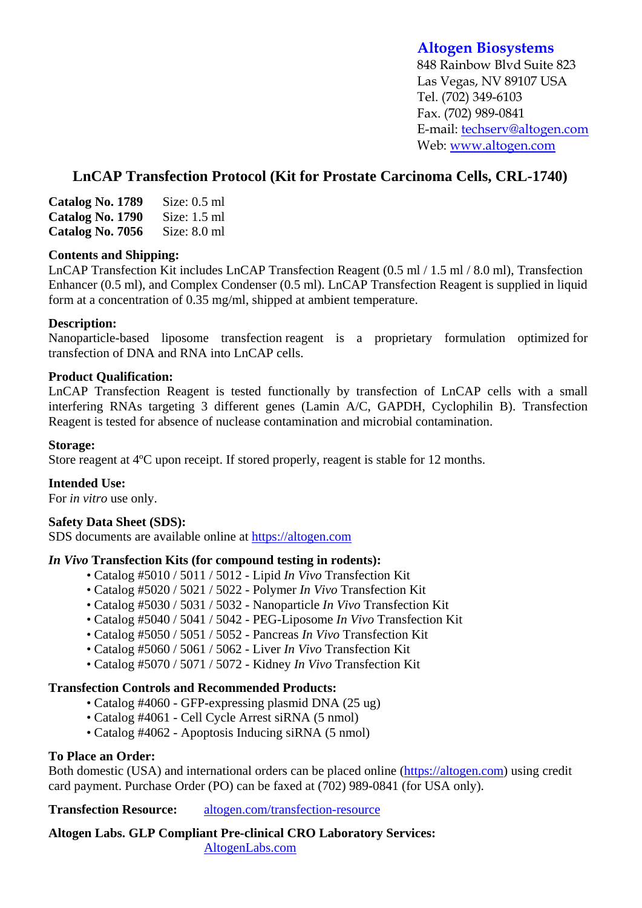# **Altogen Biosystems**

848 Rainbow Blvd Suite 823 Las Vegas, NV 89107 USA Tel. (702) 349-6103 Fax. (702) 989-0841 E-mail: techserv@altogen.com Web: www.altogen.com

# **LnCAP Transfection Protocol (Kit for Prostate Carcinoma Cells, CRL-1740)**

| Catalog No. 1789 | Size: $0.5$ ml |
|------------------|----------------|
| Catalog No. 1790 | Size: $1.5$ ml |
| Catalog No. 7056 | Size: $8.0$ ml |

### **Contents and Shipping:**

LnCAP Transfection Kit includes LnCAP Transfection Reagent (0.5 ml / 1.5 ml / 8.0 ml), Transfection Enhancer (0.5 ml), and Complex Condenser (0.5 ml). LnCAP Transfection Reagent is supplied in liquid form at a concentration of 0.35 mg/ml, shipped at ambient temperature.

### **Description:**

Nanoparticle-based liposome transfection reagent is a proprietary formulation optimized for transfection of DNA and RNA into LnCAP cells.

#### **Product Qualification:**

LnCAP Transfection Reagent is tested functionally by transfection of LnCAP cells with a small interfering RNAs targeting 3 different genes (Lamin A/C, GAPDH, Cyclophilin B). Transfection Reagent is tested for absence of nuclease contamination and microbial contamination.

#### **Storage:**

Store reagent at 4ºC upon receipt. If stored properly, reagent is stable for 12 months.

### **Intended Use:**

For *in vitro* use only.

#### **Safety Data Sheet (SDS):**

SDS documents are available online at https://altogen.com

### *In Vivo* **Transfection Kits (for compound testing in rodents):**

- Catalog #5010 / 5011 / 5012 Lipid *In Vivo* Transfection Kit
- Catalog #5020 / 5021 / 5022 Polymer *In Vivo* Transfection Kit
- Catalog #5030 / 5031 / 5032 Nanoparticle *In Vivo* Transfection Kit
- Catalog #5040 / 5041 / 5042 PEG-Liposome *In Vivo* Transfection Kit
- Catalog #5050 / 5051 / 5052 Pancreas *In Vivo* Transfection Kit
- Catalog #5060 / 5061 / 5062 Liver *In Vivo* Transfection Kit
- Catalog #5070 / 5071 / 5072 Kidney *In Vivo* Transfection Kit

### **Transfection Controls and Recommended Products:**

- Catalog #4060 GFP-expressing plasmid DNA (25 ug)
- Catalog #4061 Cell Cycle Arrest siRNA (5 nmol)
- Catalog #4062 Apoptosis Inducing siRNA (5 nmol)

### **To Place an Order:**

Both domestic (USA) and international orders can be placed online (https://altogen.com) using credit card payment. Purchase Order (PO) can be faxed at (702) 989-0841 (for USA only).

**Transfection Resource:** altogen.com/transfection-resource

**Altogen Labs. GLP Compliant Pre-clinical CRO Laboratory Services:**  AltogenLabs.com